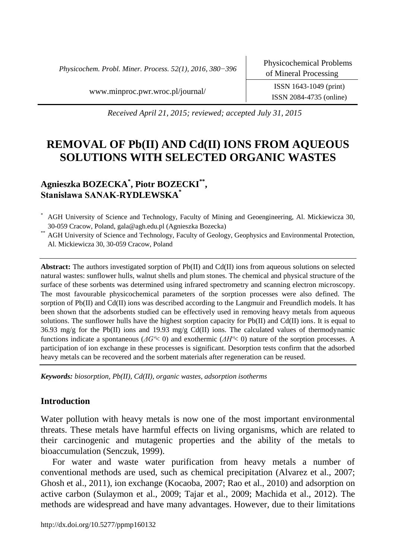*Physicochem. Probl. Miner. Process. 52(1), 2016, 380−396*

www.minproc.pwr.wroc.pl/journal/ ISSN 1643-1049 (print)

ISSN 2084-4735 (online)

*Received April 21, 2015; reviewed; accepted July 31, 2015*

# **REMOVAL OF Pb(II) AND Cd(II) IONS FROM AQUEOUS SOLUTIONS WITH SELECTED ORGANIC WASTES**

# **Agnieszka BOZECKA\* , Piotr BOZECKI\*\* , Stanisława SANAK-RYDLEWSKA\***

AGH University of Science and Technology, Faculty of Mining and Geoengineering, Al. Mickiewicza 30, 30-059 Cracow, Poland, gala@agh.edu.pl (Agnieszka Bozecka)

\*\* AGH University of Science and Technology, Faculty of Geology, Geophysics and Environmental Protection, Al. Mickiewicza 30, 30-059 Cracow, Poland

**Abstract:** The authors investigated sorption of Pb(II) and Cd(II) ions from aqueous solutions on selected natural wastes: sunflower hulls, walnut shells and plum stones. The chemical and physical structure of the surface of these sorbents was determined using infrared spectrometry and scanning electron microscopy. The most favourable physicochemical parameters of the sorption processes were also defined. The sorption of Pb(II) and Cd(II) ions was described according to the Langmuir and Freundlich models. It has been shown that the adsorbents studied can be effectively used in removing heavy metals from aqueous solutions. The sunflower hulls have the highest sorption capacity for Pb(II) and Cd(II) ions. It is equal to 36.93 mg/g for the Pb(II) ions and 19.93 mg/g Cd(II) ions. The calculated values of thermodynamic functions indicate a spontaneous (*ΔGº*< 0) and exothermic (*ΔHº*< 0) nature of the sorption processes. A participation of ion exchange in these processes is significant. Desorption tests confirm that the adsorbed heavy metals can be recovered and the sorbent materials after regeneration can be reused.

*Keywords: biosorption, Pb(II), Cd(II), organic wastes, adsorption isotherms*

# **Introduction**

Water pollution with heavy metals is now one of the most important environmental threats. These metals have harmful effects on living organisms, which are related to their carcinogenic and mutagenic properties and the ability of the metals to bioaccumulation (Senczuk, 1999).

For water and waste water purification from heavy metals a number of conventional methods are used, such as chemical precipitation (Alvarez et al., 2007; Ghosh et al., 2011), ion exchange (Kocaoba, 2007; Rao et al., 2010) and adsorption on active carbon (Sulaymon et al., 2009; Tajar et al., 2009; Machida et al., 2012). The methods are widespread and have many advantages. However, due to their limitations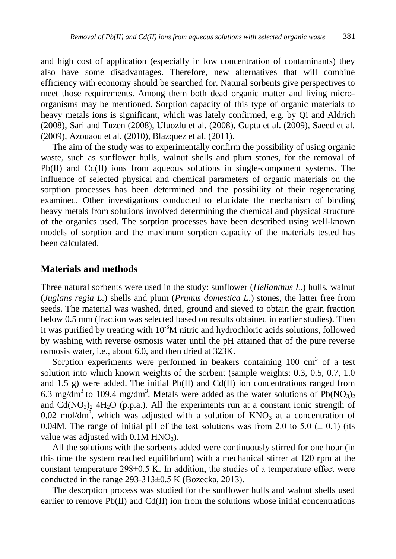and high cost of application (especially in low concentration of contaminants) they also have some disadvantages. Therefore, new alternatives that will combine efficiency with economy should be searched for. Natural sorbents give perspectives to meet those requirements. Among them both dead organic matter and living microorganisms may be mentioned. Sorption capacity of this type of organic materials to heavy metals ions is significant, which was lately confirmed, e.g. by Qi and Aldrich (2008), Sari and Tuzen (2008), Uluozlu et al. (2008), Gupta et al. (2009), Saeed et al. (2009), Azouaou et al. (2010), Blazquez et al. (2011).

The aim of the study was to experimentally confirm the possibility of using organic waste, such as sunflower hulls, walnut shells and plum stones, for the removal of Pb(II) and Cd(II) ions from aqueous solutions in single-component systems. The influence of selected physical and chemical parameters of organic materials on the sorption processes has been determined and the possibility of their regenerating examined. Other investigations conducted to elucidate the mechanism of binding heavy metals from solutions involved determining the chemical and physical structure of the organics used. The sorption processes have been described using well-known models of sorption and the maximum sorption capacity of the materials tested has been calculated.

# **Materials and methods**

Three natural sorbents were used in the study: sunflower (*Helianthus L.*) hulls, walnut (*Juglans regia L.*) shells and plum (*Prunus domestica L.*) stones, the latter free from seeds. The material was washed, dried, ground and sieved to obtain the grain fraction below 0.5 mm (fraction was selected based on results obtained in earlier studies). Then it was purified by treating with  $10^{-3}$ M nitric and hydrochloric acids solutions, followed by washing with reverse osmosis water until the pH attained that of the pure reverse osmosis water, i.e., about 6.0, and then dried at 323K.

Sorption experiments were performed in beakers containing  $100 \text{ cm}^3$  of a test solution into which known weights of the sorbent (sample weights: 0.3, 0.5, 0.7, 1.0 and 1.5 g) were added. The initial  $Pb(II)$  and  $Cd(II)$  ion concentrations ranged from 6.3 mg/dm<sup>3</sup> to 109.4 mg/dm<sup>3</sup>. Metals were added as the water solutions of  $Pb(NO<sub>3</sub>)<sub>2</sub>$ and  $Cd(NO<sub>3</sub>)<sub>2</sub> 4H<sub>2</sub>O$  (p.p.a.). All the experiments run at a constant ionic strength of 0.02 mol/dm<sup>3</sup>, which was adjusted with a solution of  $KNO<sub>3</sub>$  at a concentration of 0.04M. The range of initial pH of the test solutions was from 2.0 to 5.0  $(\pm 0.1)$  (its value was adjusted with  $0.1M HNO<sub>3</sub>$ .

All the solutions with the sorbents added were continuously stirred for one hour (in this time the system reached equilibrium) with a mechanical stirrer at 120 rpm at the constant temperature  $298\pm0.5$  K. In addition, the studies of a temperature effect were conducted in the range  $293-313\pm0.5$  K (Bozecka, 2013).

The desorption process was studied for the sunflower hulls and walnut shells used earlier to remove  $Pb(II)$  and  $Cd(II)$  ion from the solutions whose initial concentrations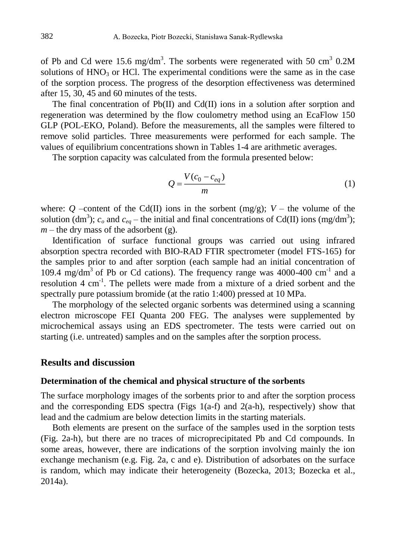of Pb and Cd were 15.6 mg/dm<sup>3</sup>. The sorbents were regenerated with 50 cm<sup>3</sup> 0.2M solutions of  $HNO<sub>3</sub>$  or HCl. The experimental conditions were the same as in the case of the sorption process. The progress of the desorption effectiveness was determined after 15, 30, 45 and 60 minutes of the tests.

The final concentration of Pb(II) and Cd(II) ions in a solution after sorption and regeneration was determined by the flow coulometry method using an EcaFlow 150 GLP (POL-EKO, Poland). Before the measurements, all the samples were filtered to remove solid particles. Three measurements were performed for each sample. The values of equilibrium concentrations shown in Tables 1-4 are arithmetic averages.

The sorption capacity was calculated from the formula presented below:

$$
Q = \frac{V(c_0 - c_{eq})}{m} \tag{1}
$$

where: *Q* –content of the Cd(II) ions in the sorbent (mg/g);  $V$  – the volume of the solution (dm<sup>3</sup>);  $c_o$  and  $c_{eq}$  – the initial and final concentrations of Cd(II) ions (mg/dm<sup>3</sup>);  $m$  – the dry mass of the adsorbent (g).

Identification of surface functional groups was carried out using infrared absorption spectra recorded with BIO-RAD FTIR spectrometer (model FTS-165) for the samples prior to and after sorption (each sample had an initial concentration of 109.4 mg/dm<sup>3</sup> of Pb or Cd cations). The frequency range was 4000-400 cm<sup>-1</sup> and a resolution 4 cm<sup>-1</sup>. The pellets were made from a mixture of a dried sorbent and the spectrally pure potassium bromide (at the ratio 1:400) pressed at 10 MPa.

The morphology of the selected organic sorbents was determined using a scanning electron microscope FEI Quanta 200 FEG. The analyses were supplemented by microchemical assays using an EDS spectrometer. The tests were carried out on starting (i.e. untreated) samples and on the samples after the sorption process.

# **Results and discussion**

## **Determination of the chemical and physical structure of the sorbents**

The surface morphology images of the sorbents prior to and after the sorption process and the corresponding EDS spectra (Figs  $1(a-f)$  and  $2(a-h)$ , respectively) show that lead and the cadmium are below detection limits in the starting materials.

Both elements are present on the surface of the samples used in the sorption tests (Fig. 2a-h), but there are no traces of microprecipitated Pb and Cd compounds. In some areas, however, there are indications of the sorption involving mainly the ion exchange mechanism (e.g. Fig. 2a, c and e). Distribution of adsorbates on the surface is random, which may indicate their heterogeneity (Bozecka, 2013; Bozecka et al., 2014a).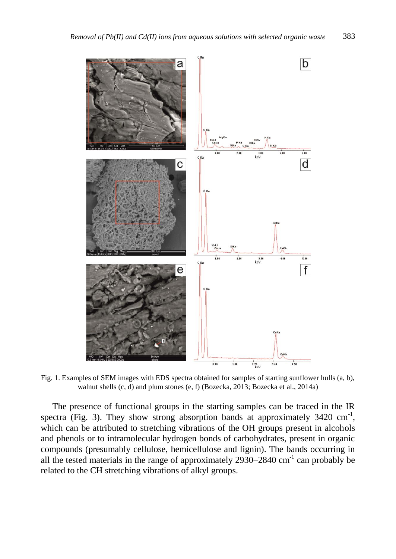

Fig. 1. Examples of SEM images with EDS spectra obtained for samples of starting sunflower hulls (a, b), walnut shells (c, d) and plum stones (e, f) (Bozecka, 2013; Bozecka et al., 2014a)

The presence of functional groups in the starting samples can be traced in the IR spectra (Fig. 3). They show strong absorption bands at approximately  $3420 \text{ cm}^{-1}$ , which can be attributed to stretching vibrations of the OH groups present in alcohols and phenols or to intramolecular hydrogen bonds of carbohydrates, present in organic compounds (presumably cellulose, hemicellulose and lignin). The bands occurring in all the tested materials in the range of approximately  $2930-2840$  cm<sup>-1</sup> can probably be related to the CH stretching vibrations of alkyl groups.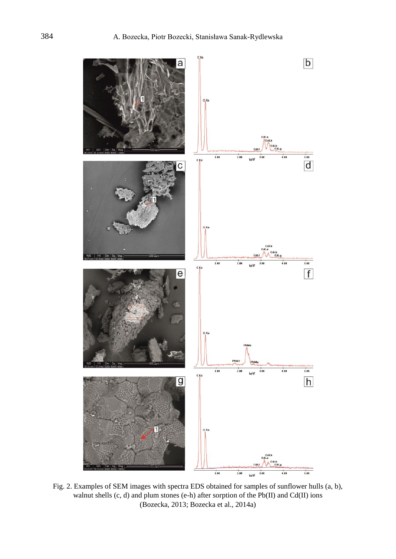

Fig. 2. Examples of SEM images with spectra EDS obtained for samples of sunflower hulls (a, b), walnut shells (c, d) and plum stones (e-h) after sorption of the Pb(II) and Cd(II) ions (Bozecka, 2013; Bozecka et al., 2014a)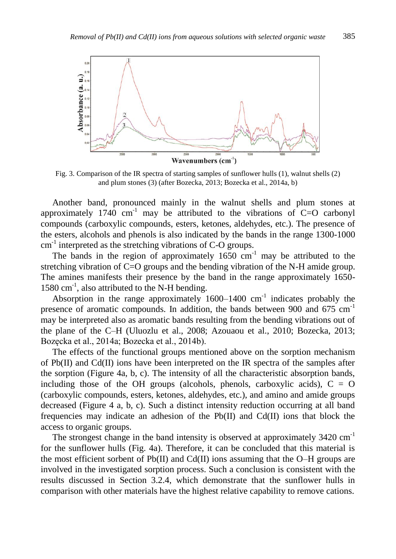

Fig. 3. Comparison of the IR spectra of starting samples of sunflower hulls (1), walnut shells (2) and plum stones (3) (after Bozecka, 2013; Bozecka et al., 2014a, b)

Another band, pronounced mainly in the walnut shells and plum stones at approximately  $1740 \text{ cm}^{-1}$  may be attributed to the vibrations of C=O carbonyl compounds (carboxylic compounds, esters, ketones, aldehydes, etc.). The presence of the esters, alcohols and phenols is also indicated by the bands in the range 1300-1000  $cm<sup>-1</sup>$  interpreted as the stretching vibrations of C-O groups.

The bands in the region of approximately  $1650 \text{ cm}^{-1}$  may be attributed to the stretching vibration of C=O groups and the bending vibration of the N-H amide group. The amines manifests their presence by the band in the range approximately 1650- 1580 cm<sup>-1</sup>, also attributed to the N-H bending.

Absorption in the range approximately  $1600-1400$  cm<sup>-1</sup> indicates probably the presence of aromatic compounds. In addition, the bands between 900 and 675 cm<sup>-1</sup> may be interpreted also as aromatic bands resulting from the bending vibrations out of the plane of the C–H (Uluozlu et al., 2008; Azouaou et al., 2010; Bozecka, 2013; Bozęcka et al., 2014a; Bozecka et al., 2014b).

The effects of the functional groups mentioned above on the sorption mechanism of Pb(II) and Cd(II) ions have been interpreted on the IR spectra of the samples after the sorption (Figure 4a, b, c). The intensity of all the characteristic absorption bands, including those of the OH groups (alcohols, phenols, carboxylic acids),  $C = O$ (carboxylic compounds, esters, ketones, aldehydes, etc.), and amino and amide groups decreased (Figure 4 a, b, c). Such a distinct intensity reduction occurring at all band frequencies may indicate an adhesion of the Pb(II) and Cd(II) ions that block the access to organic groups.

The strongest change in the band intensity is observed at approximately 3420 cm<sup>-1</sup> for the sunflower hulls (Fig. 4a). Therefore, it can be concluded that this material is the most efficient sorbent of Pb(II) and Cd(II) ions assuming that the O–H groups are involved in the investigated sorption process. Such a conclusion is consistent with the results discussed in Section 3.2.4, which demonstrate that the sunflower hulls in comparison with other materials have the highest relative capability to remove cations.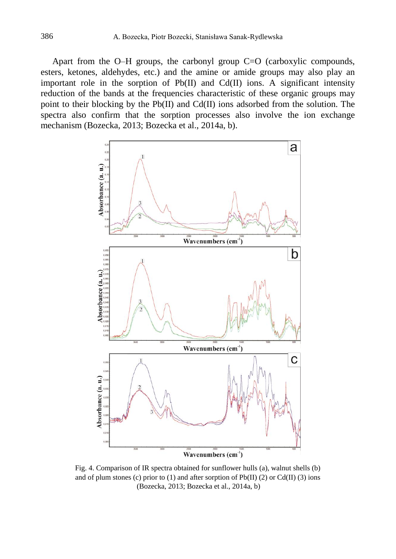Apart from the O–H groups, the carbonyl group C=O (carboxylic compounds, esters, ketones, aldehydes, etc.) and the amine or amide groups may also play an important role in the sorption of  $Pb(II)$  and  $Cd(II)$  ions. A significant intensity reduction of the bands at the frequencies characteristic of these organic groups may point to their blocking by the Pb(II) and Cd(II) ions adsorbed from the solution. The spectra also confirm that the sorption processes also involve the ion exchange mechanism (Bozecka, 2013; Bozecka et al., 2014a, b).



Fig. 4. Comparison of IR spectra obtained for sunflower hulls (a), walnut shells (b) and of plum stones (c) prior to (1) and after sorption of  $Pb(II)$  (2) or Cd(II) (3) ions (Bozecka, 2013; Bozecka et al., 2014a, b)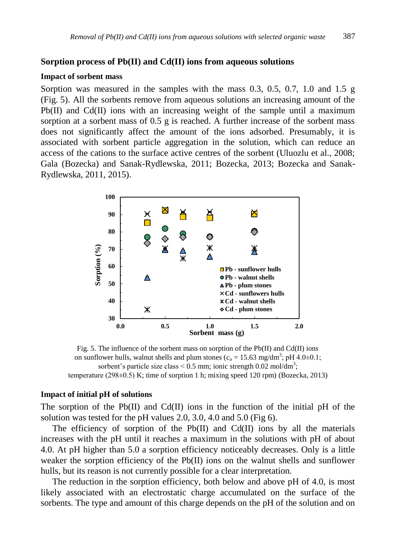# **Sorption process of Pb(II) and Cd(II) ions from aqueous solutions**

#### **Impact of sorbent mass**

Sorption was measured in the samples with the mass 0.3, 0.5, 0.7, 1.0 and 1.5 g (Fig. 5). All the sorbents remove from aqueous solutions an increasing amount of the Pb(II) and Cd(II) ions with an increasing weight of the sample until a maximum sorption at a sorbent mass of 0.5 g is reached. A further increase of the sorbent mass does not significantly affect the amount of the ions adsorbed. Presumably, it is associated with sorbent particle aggregation in the solution, which can reduce an access of the cations to the surface active centres of the sorbent (Uluozlu et al., 2008; Gala (Bozecka) and Sanak-Rydlewska, 2011; Bozecka, 2013; Bozecka and Sanak-Rydlewska, 2011, 2015).



Fig. 5. The influence of the sorbent mass on sorption of the Pb(II) and Cd(II) ions on sunflower hulls, walnut shells and plum stones ( $c_o = 15.63$  mg/dm<sup>3</sup>; pH 4.0 $\pm$ 0.1; sorbent's particle size class <  $0.5$  mm; ionic strength  $0.02$  mol/dm<sup>3</sup>; temperature (298 $\pm$ 0.5) K; time of sorption 1 h; mixing speed 120 rpm) (Bozecka, 2013)

#### **Impact of initial pH of solutions**

The sorption of the Pb(II) and Cd(II) ions in the function of the initial pH of the solution was tested for the pH values 2.0, 3.0, 4.0 and 5.0 (Fig 6).

The efficiency of sorption of the  $Pb(II)$  and  $Cd(II)$  ions by all the materials increases with the pH until it reaches a maximum in the solutions with pH of about 4.0. At pH higher than 5.0 a sorption efficiency noticeably decreases. Only is a little weaker the sorption efficiency of the Pb(II) ions on the walnut shells and sunflower hulls, but its reason is not currently possible for a clear interpretation.

The reduction in the sorption efficiency, both below and above pH of 4.0, is most likely associated with an electrostatic charge accumulated on the surface of the sorbents. The type and amount of this charge depends on the pH of the solution and on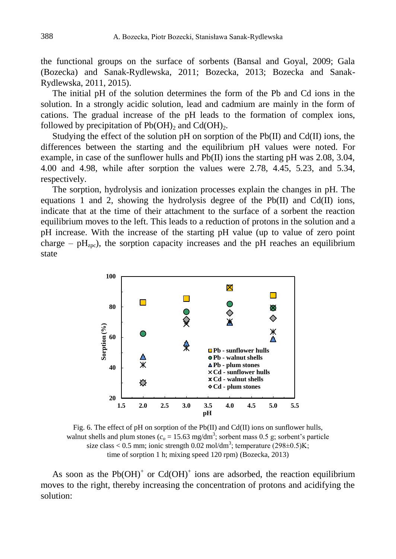the functional groups on the surface of sorbents (Bansal and Goyal, 2009; Gala (Bozecka) and Sanak-Rydlewska, 2011; Bozecka, 2013; Bozecka and Sanak-Rydlewska, 2011, 2015).

The initial pH of the solution determines the form of the Pb and Cd ions in the solution. In a strongly acidic solution, lead and cadmium are mainly in the form of cations. The gradual increase of the pH leads to the formation of complex ions, followed by precipitation of  $Pb(OH)$ <sub>2</sub> and Cd(OH)<sub>2</sub>.

Studying the effect of the solution pH on sorption of the Pb(II) and Cd(II) ions, the differences between the starting and the equilibrium pH values were noted. For example, in case of the sunflower hulls and  $Pb(II)$  ions the starting pH was 2.08, 3.04, 4.00 and 4.98, while after sorption the values were 2.78, 4.45, 5.23, and 5.34, respectively.

The sorption, hydrolysis and ionization processes explain the changes in pH. The equations 1 and 2, showing the hydrolysis degree of the Pb $(II)$  and Cd $(II)$  ions, indicate that at the time of their attachment to the surface of a sorbent the reaction equilibrium moves to the left. This leads to a reduction of protons in the solution and a pH increase. With the increase of the starting pH value (up to value of zero point charge –  $pH<sub>zpc</sub>$ ), the sorption capacity increases and the pH reaches an equilibrium state



Fig. 6. The effect of pH on sorption of the Pb(II) and Cd(II) ions on sunflower hulls, walnut shells and plum stones ( $c_o = 15.63$  mg/dm<sup>3</sup>; sorbent mass 0.5 g; sorbent's particle size class < 0.5 mm; ionic strength 0.02 mol/dm<sup>3</sup>; temperature  $(298\pm0.5)$ K; time of sorption 1 h; mixing speed 120 rpm) (Bozecka, 2013)

As soon as the  $Pb(OH)^+$  or  $Cd(OH)^+$  ions are adsorbed, the reaction equilibrium moves to the right, thereby increasing the concentration of protons and acidifying the solution: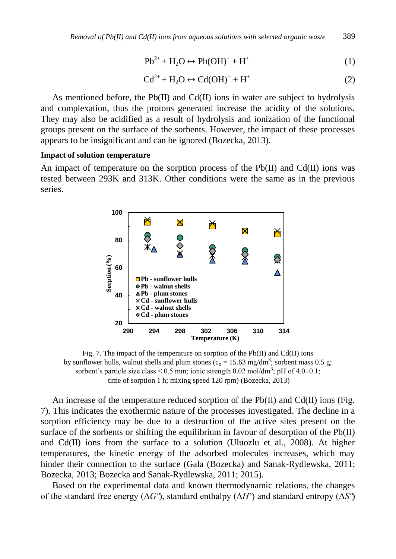$$
Pb^{2+} + H_2O \leftrightarrow Pb(OH)^+ + H^+ \tag{1}
$$

$$
Cd^{2+} + H_2O \leftrightarrow Cd(OH)^+ + H^+ \tag{2}
$$

As mentioned before, the  $Pb(II)$  and  $Cd(II)$  ions in water are subject to hydrolysis and complexation, thus the protons generated increase the acidity of the solutions. They may also be acidified as a result of hydrolysis and ionization of the functional groups present on the surface of the sorbents. However, the impact of these processes appears to be insignificant and can be ignored (Bozecka, 2013).

#### **Impact of solution temperature**

An impact of temperature on the sorption process of the  $Pb(II)$  and  $Cd(II)$  ions was tested between 293K and 313K. Other conditions were the same as in the previous series.



Fig. 7. The impact of the temperature on sorption of the  $Pb(II)$  and  $Cd(II)$  ions by sunflower hulls, walnut shells and plum stones ( $c_0 = 15.63$  mg/dm<sup>3</sup>; sorbent mass 0.5 g; sorbent's particle size class <  $0.5$  mm; ionic strength  $0.02$  mol/dm<sup>3</sup>; pH of  $4.0\pm0.1$ ; time of sorption 1 h; mixing speed 120 rpm) (Bozecka, 2013)

An increase of the temperature reduced sorption of the Pb(II) and Cd(II) ions (Fig. 7). This indicates the exothermic nature of the processes investigated. The decline in a sorption efficiency may be due to a destruction of the active sites present on the surface of the sorbents or shifting the equilibrium in favour of desorption of the  $Pb(II)$ and Cd(II) ions from the surface to a solution (Uluozlu et al., 2008). At higher temperatures, the kinetic energy of the adsorbed molecules increases, which may hinder their connection to the surface (Gala (Bozecka) and Sanak-Rydlewska, 2011; Bozecka, 2013; Bozecka and Sanak-Rydlewska, 2011; 2015).

Based on the experimental data and known thermodynamic relations, the changes of the standard free energy (Δ*Gº*), standard enthalpy (Δ*Hº*) and standard entropy (Δ*Sº*)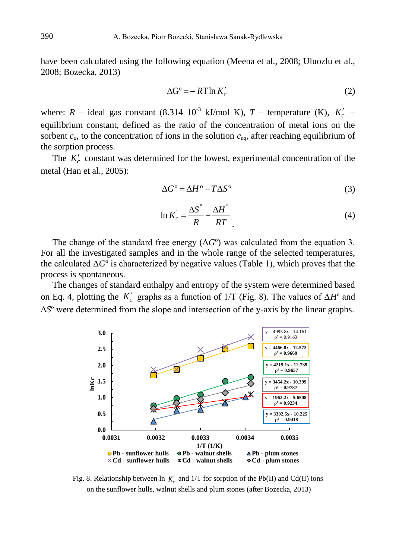have been calculated using the following equation (Meena et al., 2008; Uluozlu et al., 2008; Bozecka, 2013)

$$
\Delta G^{\circ} = -RT \ln K_c' \tag{2}
$$

where:  $R$  – ideal gas constant (8.314  $10^{-3}$  kJ/mol K),  $T$  – temperature (K),  $K_c'$  – equilibrium constant, defined as the ratio of the concentration of metal ions on the sorbent  $c_a$ , to the concentration of ions in the solution  $c_{ea}$ , after reaching equilibrium of the sorption process.

The  $K_c'$  constant was determined for the lowest, experimental concentration of the metal (Han et al., 2005):

$$
\Delta G^{\circ} = \Delta H^{\circ} - T\Delta S^{\circ} \tag{3}
$$

$$
\ln K_c = \frac{\Delta S^{\circ}}{R} - \frac{\Delta H^{\circ}}{RT}
$$
 (4)

The change of the standard free energy  $(\Delta G^{\circ})$  was calculated from the equation 3. For all the investigated samples and in the whole range of the selected temperatures, the calculated  $\Delta G^{\circ}$  is characterized by negative values (Table 1), which proves that the process is spontaneous.

The changes of standard enthalpy and entropy of the system were determined based on Eq. 4, plotting the  $K_c'$  graphs as a function of 1/T (Fig. 8). The values of  $\Delta H^{\circ}$  and Δ*S*º were determined from the slope and intersection of the y-axis by the linear graphs.



Fig. 8. Relationship between  $\ln K_c'$  and  $1/T$  for sorption of the Pb(II) and Cd(II) ions on the sunflower hulls, walnut shells and plum stones (after Bozecka, 2013)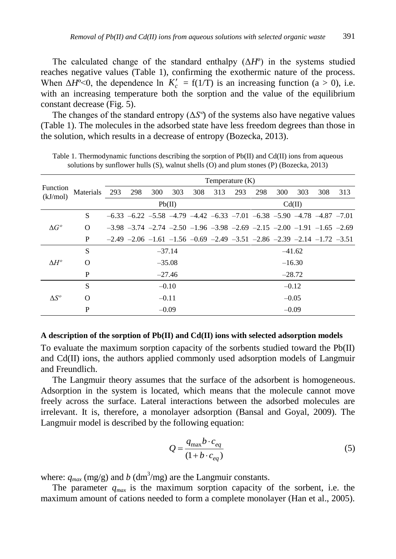The calculated change of the standard enthalpy  $(\Delta H^{\circ})$  in the systems studied reaches negative values (Table 1), confirming the exothermic nature of the process. When  $\Delta H^{\circ}$ <0, the dependence ln  $K_c' = f(1/T)$  is an increasing function (a > 0), i.e. with an increasing temperature both the sorption and the value of the equilibrium constant decrease (Fig. 5).

The changes of the standard entropy  $(\Delta S^{\circ})$  of the systems also have negative values (Table 1). The molecules in the adsorbed state have less freedom degrees than those in the solution, which results in a decrease of entropy (Bozecka, 2013).

| Function<br>(kJ/mol) |              | Temperature (K) |                                                                                                 |     |     |     |          |        |     |     |     |     |     |
|----------------------|--------------|-----------------|-------------------------------------------------------------------------------------------------|-----|-----|-----|----------|--------|-----|-----|-----|-----|-----|
|                      | Materials    | 293             | 298                                                                                             | 300 | 303 | 308 | 313      | 293    | 298 | 300 | 303 | 308 | 313 |
|                      |              | Pb(II)          |                                                                                                 |     |     |     |          | Cd(II) |     |     |     |     |     |
|                      | <sub>S</sub> |                 | $-6.33$ $-6.22$ $-5.58$ $-4.79$ $-4.42$ $-6.33$ $-7.01$ $-6.38$ $-5.90$ $-4.78$ $-4.87$ $-7.01$ |     |     |     |          |        |     |     |     |     |     |
| $\Delta G^{\circ}$   | $\Omega$     |                 | $-3.98$ $-3.74$ $-2.74$ $-2.50$ $-1.96$ $-3.98$ $-2.69$ $-2.15$ $-2.00$ $-1.91$ $-1.65$ $-2.69$ |     |     |     |          |        |     |     |     |     |     |
|                      | P            |                 | $-2.49$ $-2.06$ $-1.61$ $-1.56$ $-0.69$ $-2.49$ $-3.51$ $-2.86$ $-2.39$ $-2.14$ $-1.72$ $-3.51$ |     |     |     |          |        |     |     |     |     |     |
| $\Delta H^o$         | S            | $-37.14$        |                                                                                                 |     |     |     | $-41.62$ |        |     |     |     |     |     |
|                      | $\Omega$     | $-35.08$        |                                                                                                 |     |     |     | $-16.30$ |        |     |     |     |     |     |
|                      | P            | $-27.46$        |                                                                                                 |     |     |     | $-28.72$ |        |     |     |     |     |     |
| $\Lambda S^o$        | S            | $-0.10$         |                                                                                                 |     |     |     | $-0.12$  |        |     |     |     |     |     |
|                      | $\Omega$     | $-0.11$         |                                                                                                 |     |     |     | $-0.05$  |        |     |     |     |     |     |
|                      | P            | $-0.09$         |                                                                                                 |     |     |     | $-0.09$  |        |     |     |     |     |     |

Table 1. Thermodynamic functions describing the sorption of Pb(II) and Cd(II) ions from aqueous solutions by sunflower hulls (S), walnut shells (O) and plum stones (P) (Bozecka, 2013)

## **A description of the sorption of Pb(II) and Cd(II) ions with selected adsorption models**

To evaluate the maximum sorption capacity of the sorbents studied toward the Pb(II) and Cd(II) ions, the authors applied commonly used adsorption models of Langmuir and Freundlich.

The Langmuir theory assumes that the surface of the adsorbent is homogeneous. Adsorption in the system is located, which means that the molecule cannot move freely across the surface. Lateral interactions between the adsorbed molecules are irrelevant. It is, therefore, a monolayer adsorption (Bansal and Goyal, 2009). The Langmuir model is described by the following equation:

$$
Q = \frac{q_{\text{max}}b \cdot c_{eq}}{(1 + b \cdot c_{eq})}
$$
 (5)

where:  $q_{max}$  (mg/g) and *b* (dm<sup>3</sup>/mg) are the Langmuir constants.

The parameter  $q_{max}$  is the maximum sorption capacity of the sorbent, i.e. the maximum amount of cations needed to form a complete monolayer (Han et al., 2005).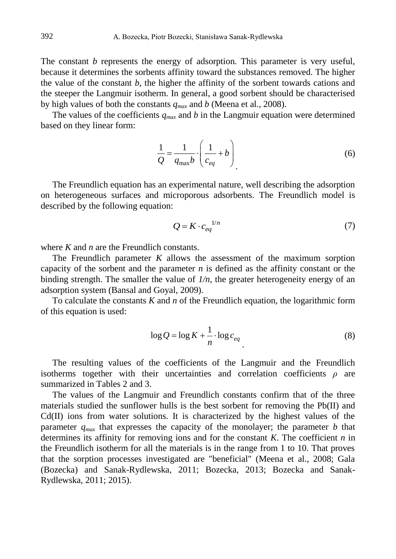The constant *b* represents the energy of adsorption. This parameter is very useful, because it determines the sorbents affinity toward the substances removed. The higher the value of the constant *b*, the higher the affinity of the sorbent towards cations and the steeper the Langmuir isotherm. In general, a good sorbent should be characterised by high values of both the constants *qmax* and *b* (Meena et al., 2008).

The values of the coefficients  $q_{max}$  and b in the Langmuir equation were determined based on they linear form:

$$
\frac{1}{Q} = \frac{1}{q_{\text{max}}b} \cdot \left(\frac{1}{c_{eq}} + b\right)
$$
\n(6)

The Freundlich equation has an experimental nature, well describing the adsorption on heterogeneous surfaces and microporous adsorbents. The Freundlich model is described by the following equation:

$$
Q = K \cdot c_{eq}^{1/n} \tag{7}
$$

where *K* and *n* are the Freundlich constants.

The Freundlich parameter *K* allows the assessment of the maximum sorption capacity of the sorbent and the parameter *n* is defined as the affinity constant or the binding strength. The smaller the value of *1/n*, the greater heterogeneity energy of an adsorption system (Bansal and Goyal, 2009).

To calculate the constants *K* and *n* of the Freundlich equation, the logarithmic form of this equation is used:

$$
\log Q = \log K + \frac{1}{n} \cdot \log c_{eq} \tag{8}
$$

The resulting values of the coefficients of the Langmuir and the Freundlich isotherms together with their uncertainties and correlation coefficients  $\rho$  are summarized in Tables 2 and 3.

The values of the Langmuir and Freundlich constants confirm that of the three materials studied the sunflower hulls is the best sorbent for removing the Pb(II) and Cd(II) ions from water solutions. It is characterized by the highest values of the parameter  $q_{max}$  that expresses the capacity of the monolayer; the parameter *b* that determines its affinity for removing ions and for the constant *K*. The coefficient *n* in the Freundlich isotherm for all the materials is in the range from 1 to 10. That proves that the sorption processes investigated are "beneficial" (Meena et al., 2008; Gala (Bozecka) and Sanak-Rydlewska, 2011; Bozecka, 2013; Bozecka and Sanak-Rydlewska, 2011; 2015).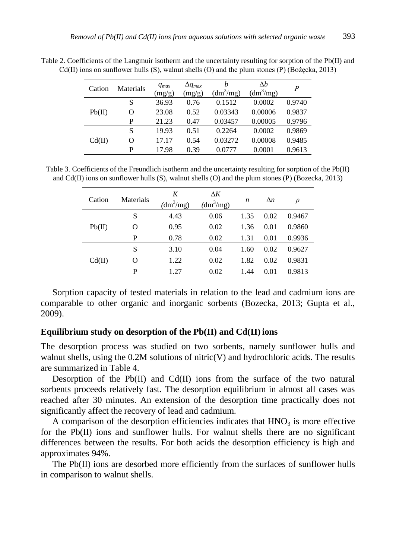| Cation | Materials | $q_{max}$<br>(mg/g) | $\Delta q_{max}$<br>(mg/g) | h<br>$(dm^3/mg)$ | Δb<br>(dm <sup>3</sup> /mg) | P      |
|--------|-----------|---------------------|----------------------------|------------------|-----------------------------|--------|
| Pb(II) | S         | 36.93               | 0.76                       | 0.1512           | 0.0002                      | 0.9740 |
|        | O         | 23.08               | 0.52                       | 0.03343          | 0.00006                     | 0.9837 |
|        | P         | 21.23               | 0.47                       | 0.03457          | 0.00005                     | 0.9796 |
| Cd(II) | S         | 19.93               | 0.51                       | 0.2264           | 0.0002                      | 0.9869 |
|        | O         | 17.17               | 0.54                       | 0.03272          | 0.00008                     | 0.9485 |
|        | P         | 17.98               | 0.39                       | 0.0777           | 0.0001                      | 0.9613 |

Table 2. Coefficients of the Langmuir isotherm and the uncertainty resulting for sorption of the Pb(II) and Cd(II) ions on sunflower hulls (S), walnut shells (O) and the plum stones (P) (Bożęcka, 2013)

Table 3. Coefficients of the Freundlich isotherm and the uncertainty resulting for sorption of the Pb(II) and Cd(II) ions on sunflower hulls (S), walnut shells (O) and the plum stones (P) (Bozecka, 2013)

| Cation | Materials | K<br>$(dm^3/mg)$ | $\Delta K$<br>$(dm^3/mg)$ | $\boldsymbol{n}$ | $\Delta n$ | $\rho$ |
|--------|-----------|------------------|---------------------------|------------------|------------|--------|
| Pb(II) | S         | 4.43             | 0.06                      | 1.35             | 0.02       | 0.9467 |
|        | O         | 0.95             | 0.02                      | 1.36             | 0.01       | 0.9860 |
|        | P         | 0.78             | 0.02                      | 1.31             | 0.01       | 0.9936 |
| Cd(II) | S         | 3.10             | 0.04                      | 1.60             | 0.02       | 0.9627 |
|        | Ω         | 1.22             | 0.02                      | 1.82             | 0.02       | 0.9831 |
|        | P         | 1.27             | 0.02                      | 1.44             | 0.01       | 0.9813 |

Sorption capacity of tested materials in relation to the lead and cadmium ions are comparable to other organic and inorganic sorbents (Bozecka, 2013; Gupta et al., 2009).

#### **Equilibrium study on desorption of the Pb(II) and Cd(II) ions**

The desorption process was studied on two sorbents, namely sunflower hulls and walnut shells, using the  $0.2M$  solutions of nitric(V) and hydrochloric acids. The results are summarized in Table 4.

Desorption of the Pb $(II)$  and Cd $(II)$  ions from the surface of the two natural sorbents proceeds relatively fast. The desorption equilibrium in almost all cases was reached after 30 minutes. An extension of the desorption time practically does not significantly affect the recovery of lead and cadmium.

A comparison of the desorption efficiencies indicates that  $HNO<sub>3</sub>$  is more effective for the Pb(II) ions and sunflower hulls. For walnut shells there are no significant differences between the results. For both acids the desorption efficiency is high and approximates 94%.

The Pb(II) ions are desorbed more efficiently from the surfaces of sunflower hulls in comparison to walnut shells.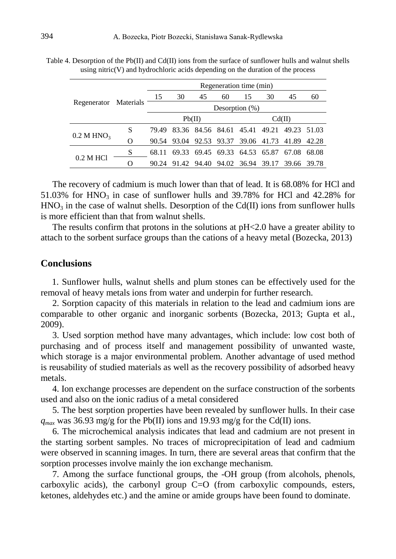|                          | Regenerator Materials | Regeneration time (min) |                                           |    |    |        |                                     |    |       |  |
|--------------------------|-----------------------|-------------------------|-------------------------------------------|----|----|--------|-------------------------------------|----|-------|--|
|                          |                       | 15                      | 30                                        | 45 | 60 | 15     | 30                                  | 45 | 60    |  |
|                          |                       | Desorption $(\%)$       |                                           |    |    |        |                                     |    |       |  |
|                          |                       |                         | Pb(II)                                    |    |    | Cd(II) |                                     |    |       |  |
|                          | S                     | 79.49                   | 83.36 84.56 84.61 45.41 49.21 49.23 51.03 |    |    |        |                                     |    |       |  |
| $0.2$ M HNO <sub>3</sub> | $\Omega$              |                         | 90.54 93.04 92.53 93.37 39.06 41.73 41.89 |    |    |        |                                     |    | 42.28 |  |
|                          | S                     | 68.11                   |                                           |    |    |        | 69.33 69.45 69.33 64.53 65.87 67.08 |    | 68.08 |  |
| 0.2 M HCl                | ∩                     |                         | 90.24 91.42                               |    |    |        | 94.40 94.02 36.94 39.17 39.66 39.78 |    |       |  |

Table 4. Desorption of the Pb(II) and Cd(II) ions from the surface of sunflower hulls and walnut shells using nitric $(V)$  and hydrochloric acids depending on the duration of the process

The recovery of cadmium is much lower than that of lead. It is 68.08% for HCl and 51.03% for HNO<sub>3</sub> in case of sunflower hulls and 39.78% for HCl and 42.28% for  $HNO<sub>3</sub>$  in the case of walnut shells. Desorption of the Cd(II) ions from sunflower hulls is more efficient than that from walnut shells.

The results confirm that protons in the solutions at pH<2.0 have a greater ability to attach to the sorbent surface groups than the cations of a heavy metal (Bozecka, 2013)

# **Conclusions**

 1. Sunflower hulls, walnut shells and plum stones can be effectively used for the removal of heavy metals ions from water and underpin for further research.

2. Sorption capacity of this materials in relation to the lead and cadmium ions are comparable to other organic and inorganic sorbents (Bozecka, 2013; Gupta et al., 2009).

3. Used sorption method have many advantages, which include: low cost both of purchasing and of process itself and management possibility of unwanted waste, which storage is a major environmental problem. Another advantage of used method is reusability of studied materials as well as the recovery possibility of adsorbed heavy metals.

4. Ion exchange processes are dependent on the surface construction of the sorbents used and also on the ionic radius of a metal considered

5. The best sorption properties have been revealed by sunflower hulls. In their case  $q_{max}$  was 36.93 mg/g for the Pb(II) ions and 19.93 mg/g for the Cd(II) ions.

6. The microchemical analysis indicates that lead and cadmium are not present in the starting sorbent samples. No traces of microprecipitation of lead and cadmium were observed in scanning images. In turn, there are several areas that confirm that the sorption processes involve mainly the ion exchange mechanism.

7. Among the surface functional groups, the -OH group (from alcohols, phenols, carboxylic acids), the carbonyl group C=O (from carboxylic compounds, esters, ketones, aldehydes etc.) and the amine or amide groups have been found to dominate.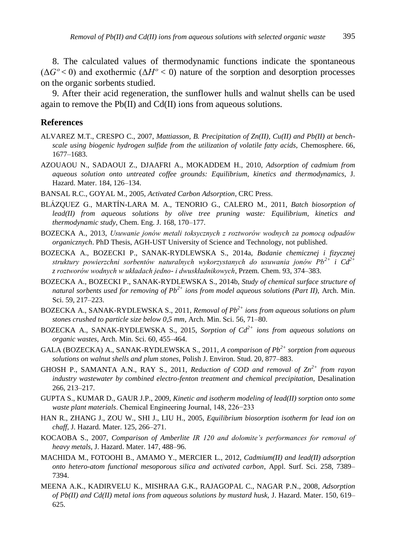8. The calculated values of thermodynamic functions indicate the spontaneous  $(\Delta G^{\circ} < 0)$  and exothermic  $(\Delta H^{\circ} < 0)$  nature of the sorption and desorption processes on the organic sorbents studied.

9. After their acid regeneration, the sunflower hulls and walnut shells can be used again to remove the Pb(II) and Cd(II) ions from aqueous solutions.

#### **References**

- ALVAREZ M.T., CRESPO C., 2007, *Mattiasson, B. Precipitation of Zn(II), Cu(II) and Pb(II) at benchscale using biogenic hydrogen sulfide from the utilization of volatile fatty acids,* Chemosphere. 66, 1677–1683.
- AZOUAOU N., SADAOUI Z., DJAAFRI A., MOKADDEM H., 2010, *Adsorption of cadmium from aqueous solution onto untreated coffee grounds: Equilibrium, kinetics and thermodynamics,* J. Hazard. Mater. 184, 126–134.
- BANSAL R.C., GOYAL M., 2005, *Activated Carbon Adsorption*, CRC Press.
- BLÁZQUEZ G., MARTÍN-LARA M. A., TENORIO G., CALERO M., 2011, *Batch biosorption of lead(II) from aqueous solutions by olive tree pruning waste: Equilibrium, kinetics and thermodynamic study,* Chem. Eng. J. 168, 170–177.
- BOZECKA A., 2013, *Usuwanie jonów metali toksycznych z roztworów wodnych za pomocą odpadów organicznych*. PhD Thesis, AGH-UST University of Science and Technology, not published.
- BOZECKA A., BOZECKI P., SANAK-RYDLEWSKA S., 2014a, *Badanie chemicznej i fizycznej struktury powierzchni sorbentów naturalnych wykorzystanych do usuwania jonów Pb2+ i Cd2+ z roztworów wodnych w układach jedno- i dwuskładnikowych*, Przem. Chem. 93, 374–383.
- BOZECKA A., BOZECKI P., SANAK-RYDLEWSKA S., 2014b, *Study of chemical surface structure of natural sorbents used for removing of Pb2+ ions from model aqueous solutions (Part II),* Arch. Min. Sci. 59, 217–223.
- BOZECKA A., SANAK-RYDLEWSKA S., 2011, *Removal of Pb2+ ions from aqueous solutions on plum stones crushed to particle size below 0,5 mm*, Arch. Min. Sci. 56, 71–80.
- BOZECKA A., SANAK-RYDLEWSKA S., 2015, *Sorption of Cd2+ ions from aqueous solutions on organic wastes,* Arch. Min. Sci. 60, 455–464.
- GALA (BOZECKA) A., SANAK-RYDLEWSKA S., 2011, *A comparison of Pb2+ sorption from aqueous solutions on walnut shells and plum stones,* Polish J. Environ. Stud. 20, 877–883.
- GHOSH P., SAMANTA A.N., RAY S., 2011, *Reduction of COD and removal of Zn2+ from rayon industry wastewater by combined electro-fenton treatment and chemical precipitation,* Desalination 266, 213–217.
- GUPTA S., KUMAR D., GAUR J.P., 2009, *Kinetic and isotherm modeling of lead(II) sorption onto some waste plant materials*. Chemical Engineering Journal, 148, 226−233
- HAN R., ZHANG J., ZOU W., SHI J., LIU H., 2005, *Equilibrium biosorption isotherm for lead ion on chaff,* J. Hazard. Mater. 125, 266–271.
- KOCAOBA S., 2007, *Comparison of Amberlite IR 120 and dolomite's performances for removal of heavy metals*, J. Hazard. Mater. 147, 488–96.
- MACHIDA M., FOTOOHI B., AMAMO Y., MERCIER L., 2012, *Cadmium(II) and lead(II) adsorption onto hetero-atom functional mesoporous silica and activated carbon*, Appl. Surf. Sci. 258, 7389– 7394.
- MEENA A.K., KADIRVELU K., MISHRAA G.K., RAJAGOPAL C., NAGAR P.N., 2008, *Adsorption of Pb(II) and Cd(II) metal ions from aqueous solutions by mustard husk,* J. Hazard. Mater. 150, 619– 625.